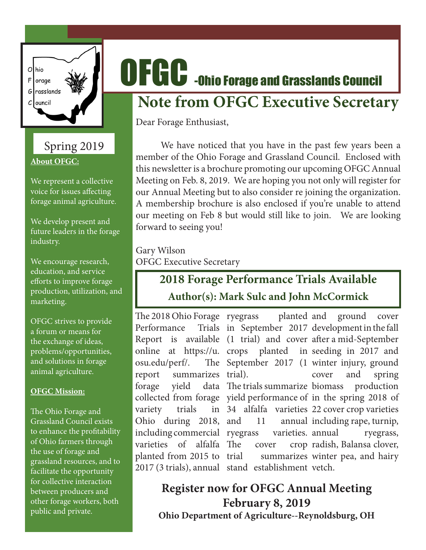

## Spring 2019 **About OFGC:**

We represent a collective voice for issues affecting forage animal agriculture.

We develop present and future leaders in the forage industry.

We encourage research, education, and service efforts to improve forage production, utilization, and marketing.

OFGC strives to provide a forum or means for the exchange of ideas, problems/opportunities, and solutions in forage animal agriculture.

#### **OFGC Mission:**

The Ohio Forage and Grassland Council exists to enhance the profitability of Ohio farmers through the use of forage and grassland resources, and to facilitate the opportunity for collective interaction between producers and other forage workers, both public and private.

# OFGC -Ohio Forage and Grasslands Council

## **Note from OFGC Executive Secretary**

Dear Forage Enthusiast,

We have noticed that you have in the past few years been a member of the Ohio Forage and Grassland Council. Enclosed with this newsletter is a brochure promoting our upcoming OFGC Annual Meeting on Feb. 8, 2019. We are hoping you not only will register for our Annual Meeting but to also consider re joining the organization. A membership brochure is also enclosed if you're unable to attend our meeting on Feb 8 but would still like to join. We are looking forward to seeing you!

Gary Wilson OFGC Executive Secretary

## **2018 Forage Performance Trials Available Author(s): Mark Sulc and John McCormick**

Performance osu.edu/perf/. report summarizes trial). forage yield variety trials varieties of alfalfa planted from 2015 to

The 2018 Ohio Forage ryegrass planted Report is available (1 trial) and cover after a mid-September online at https://u. crops planted in seeding in 2017 and collected from forage yield performance of in the spring 2018 of Ohio during 2018, and 11 annual including commercial ryegrass varieties. 2017 (3 trials), annual stand establishment vetch. in September 2017 development in the fall September 2017 (1 winter injury, ground data The trials summarize biomass 34 alfalfa varieties 22 cover crop varieties cover trial summarizes winter pea, and hairy planted and ground cover cover and spring production annual including rape, turnip, ryegrass, radish, Balansa clover,

### **Register now for OFGC Annual Meeting February 8, 2019 Ohio Department of Agriculture--Reynoldsburg, OH**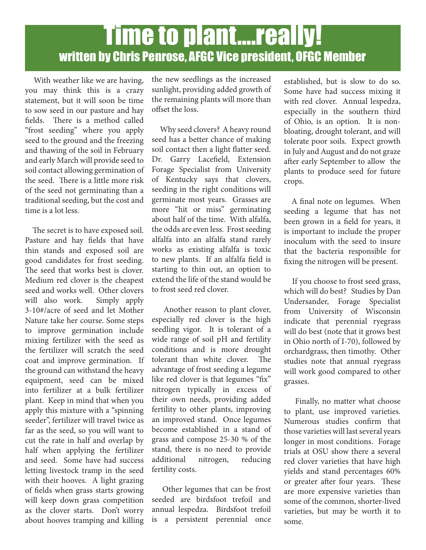# Time to plant….really! written by Chris Penrose, AFGC Vice president, OFGC Member

 With weather like we are having, you may think this is a crazy statement, but it will soon be time to sow seed in our pasture and hay fields. There is a method called "frost seeding" where you apply seed to the ground and the freezing and thawing of the soil in February and early March will provide seed to soil contact allowing germination of the seed. There is a little more risk of the seed not germinating than a traditional seeding, but the cost and time is a lot less.

 The secret is to have exposed soil. Pasture and hay fields that have thin stands and exposed soil are good candidates for frost seeding. The seed that works best is clover. Medium red clover is the cheapest seed and works well. Other clovers will also work. Simply apply 3-10#/acre of seed and let Mother Nature take her course. Some steps to improve germination include mixing fertilizer with the seed as the fertilizer will scratch the seed coat and improve germination. If the ground can withstand the heavy equipment, seed can be mixed into fertilizer at a bulk fertilizer plant. Keep in mind that when you apply this mixture with a "spinning seeder", fertilizer will travel twice as far as the seed, so you will want to cut the rate in half and overlap by half when applying the fertilizer and seed. Some have had success letting livestock tramp in the seed with their hooves. A light grazing of fields when grass starts growing will keep down grass competition as the clover starts. Don't worry about hooves tramping and killing the new seedlings as the increased sunlight, providing added growth of the remaining plants will more than offset the loss.

 Why seed clovers? A heavy round seed has a better chance of making soil contact then a light flatter seed. Dr. Garry Lacefield, Extension Forage Specialist from University of Kentucky says that clovers, seeding in the right conditions will germinate most years. Grasses are more "hit or miss" germinating about half of the time. With alfalfa, the odds are even less. Frost seeding alfalfa into an alfalfa stand rarely works as existing alfalfa is toxic to new plants. If an alfalfa field is starting to thin out, an option to extend the life of the stand would be to frost seed red clover.

 Another reason to plant clover, especially red clover is the high seedling vigor. It is tolerant of a wide range of soil pH and fertility conditions and is more drought tolerant than white clover. The advantage of frost seeding a legume like red clover is that legumes "fix" nitrogen typically in excess of their own needs, providing added fertility to other plants, improving an improved stand. Once legumes become established in a stand of grass and compose 25-30 % of the stand, there is no need to provide additional nitrogen, reducing fertility costs.

 Other legumes that can be frost seeded are birdsfoot trefoil and annual lespedza. Birdsfoot trefoil is a persistent perennial once

established, but is slow to do so. Some have had success mixing it with red clover. Annual lespedza, especially in the southern third of Ohio, is an option. It is nonbloating, drought tolerant, and will tolerate poor soils. Expect growth in July and August and do not graze after early September to allow the plants to produce seed for future crops.

 A final note on legumes. When seeding a legume that has not been grown in a field for years, it is important to include the proper inoculum with the seed to insure that the bacteria responsible for fixing the nitrogen will be present.

 If you choose to frost seed grass, which will do best? Studies by Dan Undersander, Forage Specialist from University of Wisconsin indicate that perennial ryegrass will do best (note that it grows best in Ohio north of I-70), followed by orchardgrass, then timothy. Other studies note that annual ryegrass will work good compared to other grasses.

 Finally, no matter what choose to plant, use improved varieties. Numerous studies confirm that those varieties will last several years longer in most conditions. Forage trials at OSU show there a several red clover varieties that have high yields and stand percentages 60% or greater after four years. These are more expensive varieties than some of the common, shorter-lived varieties, but may be worth it to some.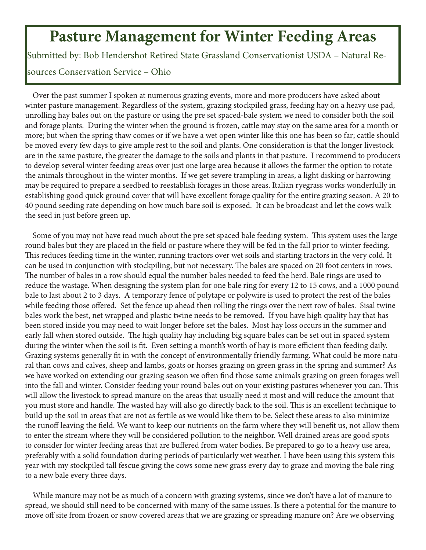## **Pasture Management for Winter Feeding Areas**

Submitted by: Bob Hendershot Retired State Grassland Conservationist USDA – Natural Re-

#### sources Conservation Service – Ohio

 Over the past summer I spoken at numerous grazing events, more and more producers have asked about winter pasture management. Regardless of the system, grazing stockpiled grass, feeding hay on a heavy use pad, unrolling hay bales out on the pasture or using the pre set spaced-bale system we need to consider both the soil and forage plants. During the winter when the ground is frozen, cattle may stay on the same area for a month or more; but when the spring thaw comes or if we have a wet open winter like this one has been so far; cattle should be moved every few days to give ample rest to the soil and plants. One consideration is that the longer livestock are in the same pasture, the greater the damage to the soils and plants in that pasture. I recommend to producers to develop several winter feeding areas over just one large area because it allows the farmer the option to rotate the animals throughout in the winter months. If we get severe trampling in areas, a light disking or harrowing may be required to prepare a seedbed to reestablish forages in those areas. Italian ryegrass works wonderfully in establishing good quick ground cover that will have excellent forage quality for the entire grazing season. A 20 to 40 pound seeding rate depending on how much bare soil is exposed. It can be broadcast and let the cows walk the seed in just before green up.

 Some of you may not have read much about the pre set spaced bale feeding system. This system uses the large round bales but they are placed in the field or pasture where they will be fed in the fall prior to winter feeding. This reduces feeding time in the winter, running tractors over wet soils and starting tractors in the very cold. It can be used in conjunction with stockpiling, but not necessary. The bales are spaced on 20 foot centers in rows. The number of bales in a row should equal the number bales needed to feed the herd. Bale rings are used to reduce the wastage. When designing the system plan for one bale ring for every 12 to 15 cows, and a 1000 pound bale to last about 2 to 3 days. A temporary fence of polytape or polywire is used to protect the rest of the bales while feeding those offered. Set the fence up ahead then rolling the rings over the next row of bales. Sisal twine bales work the best, net wrapped and plastic twine needs to be removed. If you have high quality hay that has been stored inside you may need to wait longer before set the bales. Most hay loss occurs in the summer and early fall when stored outside. The high quality hay including big square bales can be set out in spaced system during the winter when the soil is fit. Even setting a month's worth of hay is more efficient than feeding daily. Grazing systems generally fit in with the concept of environmentally friendly farming. What could be more natural than cows and calves, sheep and lambs, goats or horses grazing on green grass in the spring and summer? As we have worked on extending our grazing season we often find those same animals grazing on green forages well into the fall and winter. Consider feeding your round bales out on your existing pastures whenever you can. This will allow the livestock to spread manure on the areas that usually need it most and will reduce the amount that you must store and handle. The wasted hay will also go directly back to the soil. This is an excellent technique to build up the soil in areas that are not as fertile as we would like them to be. Select these areas to also minimize the runoff leaving the field. We want to keep our nutrients on the farm where they will benefit us, not allow them to enter the stream where they will be considered pollution to the neighbor. Well drained areas are good spots to consider for winter feeding areas that are buffered from water bodies. Be prepared to go to a heavy use area, preferably with a solid foundation during periods of particularly wet weather. I have been using this system this year with my stockpiled tall fescue giving the cows some new grass every day to graze and moving the bale ring to a new bale every three days.

 While manure may not be as much of a concern with grazing systems, since we don't have a lot of manure to spread, we should still need to be concerned with many of the same issues. Is there a potential for the manure to move off site from frozen or snow covered areas that we are grazing or spreading manure on? Are we observing